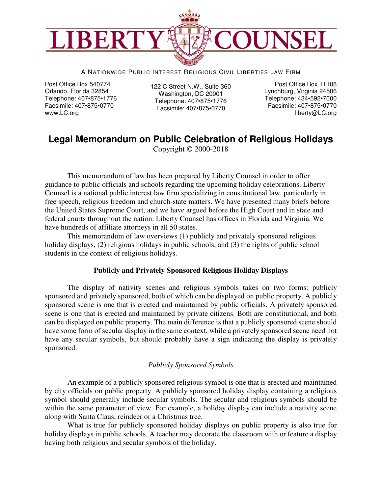

A NATIONWIDE PUBLIC INTEREST RELIGIOUS CIVIL LIBERTIES LAW FIRM

Post Office Box 540774 Orlando, Florida 32854 Telephone: 407•875•1776 Facsimile: 407•875•0770 www.LC.org

122 C Street N.W., Suite 360 Washington, DC 20001 Telephone: 407•875•1776 Facsimile: 407•875•0770

Post Office Box 11108 Lynchburg, Virginia 24506 Telephone: 434•592•7000 Facsimile: 407•875•0770 liberty@LC.org

# **Legal Memorandum on Public Celebration of Religious Holidays**

Copyright © 2000-2018

 This memorandum of law has been prepared by Liberty Counsel in order to offer guidance to public officials and schools regarding the upcoming holiday celebrations. Liberty Counsel is a national public interest law firm specializing in constitutional law, particularly in free speech, religious freedom and church-state matters. We have presented many briefs before the United States Supreme Court, and we have argued before the High Court and in state and federal courts throughout the nation. Liberty Counsel has offices in Florida and Virginia. We have hundreds of affiliate attorneys in all 50 states.

 This memorandum of law overviews (1) publicly and privately sponsored religious holiday displays, (2) religious holidays in public schools, and (3) the rights of public school students in the context of religious holidays.

## **Publicly and Privately Sponsored Religious Holiday Displays**

The display of nativity scenes and religious symbols takes on two forms: publicly sponsored and privately sponsored, both of which can be displayed on public property. A publicly sponsored scene is one that is erected and maintained by public officials. A privately sponsored scene is one that is erected and maintained by private citizens. Both are constitutional, and both can be displayed on public property. The main difference is that a publicly sponsored scene should have some form of secular display in the same context, while a privately sponsored scene need not have any secular symbols, but should probably have a sign indicating the display is privately sponsored.

## *Publicly Sponsored Symbols*

An example of a publicly sponsored religious symbol is one that is erected and maintained by city officials on public property. A publicly sponsored holiday display containing a religious symbol should generally include secular symbols. The secular and religious symbols should be within the same parameter of view. For example, a holiday display can include a nativity scene along with Santa Claus, reindeer or a Christmas tree.

What is true for publicly sponsored holiday displays on public property is also true for holiday displays in public schools. A teacher may decorate the classroom with or feature a display having both religious and secular symbols of the holiday.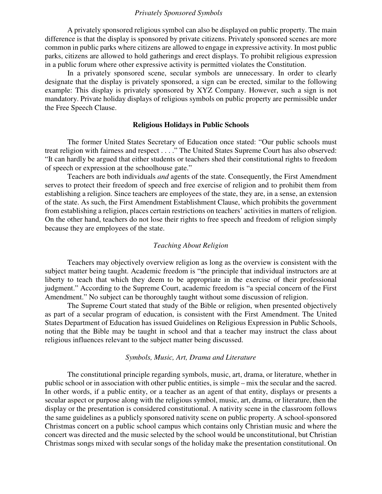#### *Privately Sponsored Symbols*

A privately sponsored religious symbol can also be displayed on public property. The main difference is that the display is sponsored by private citizens. Privately sponsored scenes are more common in public parks where citizens are allowed to engage in expressive activity. In most public parks, citizens are allowed to hold gatherings and erect displays. To prohibit religious expression in a public forum where other expressive activity is permitted violates the Constitution.

In a privately sponsored scene, secular symbols are unnecessary. In order to clearly designate that the display is privately sponsored, a sign can be erected, similar to the following example: This display is privately sponsored by XYZ Company. However, such a sign is not mandatory. Private holiday displays of religious symbols on public property are permissible under the Free Speech Clause.

#### **Religious Holidays in Public Schools**

The former United States Secretary of Education once stated: "Our public schools must treat religion with fairness and respect . . . ." The United States Supreme Court has also observed: "It can hardly be argued that either students or teachers shed their constitutional rights to freedom of speech or expression at the schoolhouse gate."

Teachers are both individuals *and* agents of the state. Consequently, the First Amendment serves to protect their freedom of speech and free exercise of religion and to prohibit them from establishing a religion. Since teachers are employees of the state, they are, in a sense, an extension of the state. As such, the First Amendment Establishment Clause, which prohibits the government from establishing a religion, places certain restrictions on teachers' activities in matters of religion. On the other hand, teachers do not lose their rights to free speech and freedom of religion simply because they are employees of the state.

#### *Teaching About Religion*

Teachers may objectively overview religion as long as the overview is consistent with the subject matter being taught. Academic freedom is "the principle that individual instructors are at liberty to teach that which they deem to be appropriate in the exercise of their professional judgment." According to the Supreme Court, academic freedom is "a special concern of the First Amendment." No subject can be thoroughly taught without some discussion of religion.

The Supreme Court stated that study of the Bible or religion, when presented objectively as part of a secular program of education, is consistent with the First Amendment. The United States Department of Education has issued Guidelines on Religious Expression in Public Schools, noting that the Bible may be taught in school and that a teacher may instruct the class about religious influences relevant to the subject matter being discussed.

#### *Symbols, Music, Art, Drama and Literature*

The constitutional principle regarding symbols, music, art, drama, or literature, whether in public school or in association with other public entities, is simple – mix the secular and the sacred. In other words, if a public entity, or a teacher as an agent of that entity, displays or presents a secular aspect or purpose along with the religious symbol, music, art, drama, or literature, then the display or the presentation is considered constitutional. A nativity scene in the classroom follows the same guidelines as a publicly sponsored nativity scene on public property. A school-sponsored Christmas concert on a public school campus which contains only Christian music and where the concert was directed and the music selected by the school would be unconstitutional, but Christian Christmas songs mixed with secular songs of the holiday make the presentation constitutional. On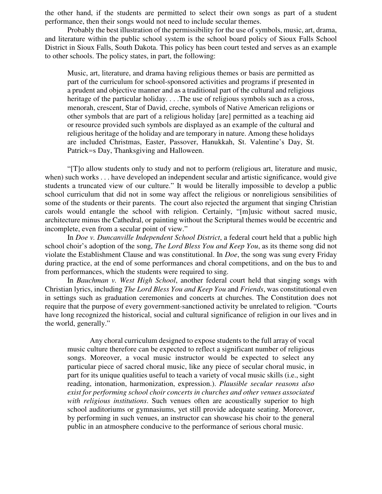the other hand, if the students are permitted to select their own songs as part of a student performance, then their songs would not need to include secular themes.

Probably the best illustration of the permissibility for the use of symbols, music, art, drama, and literature within the public school system is the school board policy of Sioux Falls School District in Sioux Falls, South Dakota. This policy has been court tested and serves as an example to other schools. The policy states, in part, the following:

Music, art, literature, and drama having religious themes or basis are permitted as part of the curriculum for school-sponsored activities and programs if presented in a prudent and objective manner and as a traditional part of the cultural and religious heritage of the particular holiday. . . . The use of religious symbols such as a cross, menorah, crescent, Star of David, creche, symbols of Native American religions or other symbols that are part of a religious holiday [are] permitted as a teaching aid or resource provided such symbols are displayed as an example of the cultural and religious heritage of the holiday and are temporary in nature. Among these holidays are included Christmas, Easter, Passover, Hanukkah, St. Valentine's Day, St. Patrick=s Day, Thanksgiving and Halloween.

"[T]o allow students only to study and not to perform (religious art, literature and music, when) such works . . . have developed an independent secular and artistic significance, would give students a truncated view of our culture." It would be literally impossible to develop a public school curriculum that did not in some way affect the religious or nonreligious sensibilities of some of the students or their parents. The court also rejected the argument that singing Christian carols would entangle the school with religion. Certainly, "[m]usic without sacred music, architecture minus the Cathedral, or painting without the Scriptural themes would be eccentric and incomplete, even from a secular point of view."

In *Doe v. Duncanville Independent School District*, a federal court held that a public high school choir's adoption of the song, *The Lord Bless You and Keep You*, as its theme song did not violate the Establishment Clause and was constitutional. In *Doe*, the song was sung every Friday during practice, at the end of some performances and choral competitions, and on the bus to and from performances, which the students were required to sing.

In *Bauchman v. West High School*, another federal court held that singing songs with Christian lyrics, including *The Lord Bless You and Keep You* and *Friends*, was constitutional even in settings such as graduation ceremonies and concerts at churches. The Constitution does not require that the purpose of every government-sanctioned activity be unrelated to religion. "Courts have long recognized the historical, social and cultural significance of religion in our lives and in the world, generally."

Any choral curriculum designed to expose students to the full array of vocal music culture therefore can be expected to reflect a significant number of religious songs. Moreover, a vocal music instructor would be expected to select any particular piece of sacred choral music, like any piece of secular choral music, in part for its unique qualities useful to teach a variety of vocal music skills (i.e., sight reading, intonation, harmonization, expression.). *Plausible secular reasons also exist for performing school choir concerts in churches and other venues associated with religious institutions*. Such venues often are acoustically superior to high school auditoriums or gymnasiums, yet still provide adequate seating. Moreover, by performing in such venues, an instructor can showcase his choir to the general public in an atmosphere conducive to the performance of serious choral music.